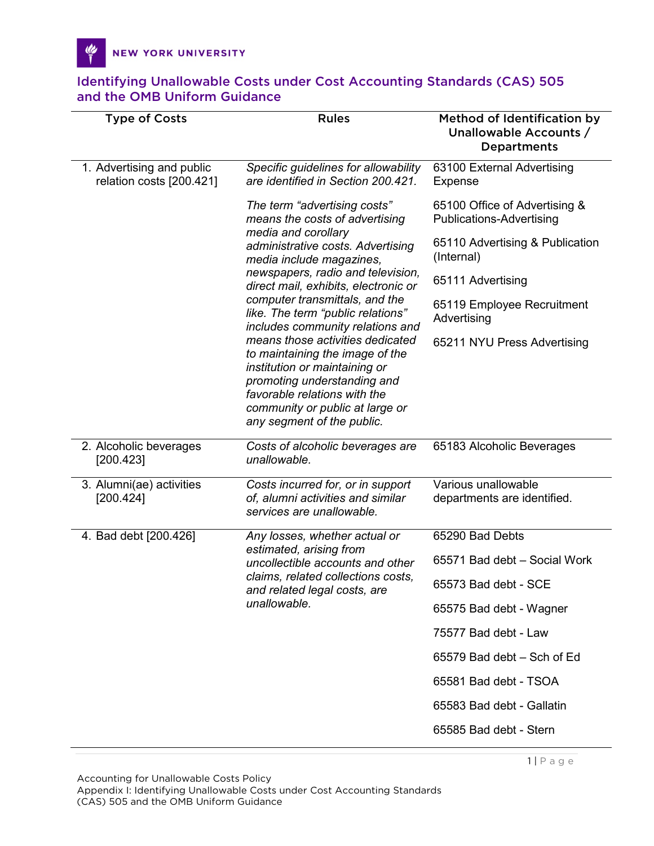| <b>Type of Costs</b>                                  | <b>Rules</b>                                                                                                                                                                                                                                                                                                                                                                                                                                                                                                                                                                           | Method of Identification by<br>Unallowable Accounts /<br><b>Departments</b> |
|-------------------------------------------------------|----------------------------------------------------------------------------------------------------------------------------------------------------------------------------------------------------------------------------------------------------------------------------------------------------------------------------------------------------------------------------------------------------------------------------------------------------------------------------------------------------------------------------------------------------------------------------------------|-----------------------------------------------------------------------------|
| 1. Advertising and public<br>relation costs [200.421] | Specific guidelines for allowability<br>are identified in Section 200.421.                                                                                                                                                                                                                                                                                                                                                                                                                                                                                                             | 63100 External Advertising<br>Expense                                       |
|                                                       | The term "advertising costs"<br>means the costs of advertising<br>media and corollary<br>administrative costs. Advertising<br>media include magazines,<br>newspapers, radio and television,<br>direct mail, exhibits, electronic or<br>computer transmittals, and the<br>like. The term "public relations"<br>includes community relations and<br>means those activities dedicated<br>to maintaining the image of the<br>institution or maintaining or<br>promoting understanding and<br>favorable relations with the<br>community or public at large or<br>any segment of the public. | 65100 Office of Advertising &<br><b>Publications-Advertising</b>            |
|                                                       |                                                                                                                                                                                                                                                                                                                                                                                                                                                                                                                                                                                        | 65110 Advertising & Publication<br>(Internal)                               |
|                                                       |                                                                                                                                                                                                                                                                                                                                                                                                                                                                                                                                                                                        | 65111 Advertising                                                           |
|                                                       |                                                                                                                                                                                                                                                                                                                                                                                                                                                                                                                                                                                        | 65119 Employee Recruitment<br>Advertising                                   |
|                                                       |                                                                                                                                                                                                                                                                                                                                                                                                                                                                                                                                                                                        | 65211 NYU Press Advertising                                                 |
| 2. Alcoholic beverages<br>[200.423]                   | Costs of alcoholic beverages are<br>unallowable.                                                                                                                                                                                                                                                                                                                                                                                                                                                                                                                                       | 65183 Alcoholic Beverages                                                   |
| 3. Alumni(ae) activities<br>[200.424]                 | Costs incurred for, or in support<br>of, alumni activities and similar<br>services are unallowable.                                                                                                                                                                                                                                                                                                                                                                                                                                                                                    | Various unallowable<br>departments are identified.                          |
| 4. Bad debt [200.426]                                 | Any losses, whether actual or<br>estimated, arising from<br>uncollectible accounts and other<br>claims, related collections costs,<br>and related legal costs, are<br>unallowable.                                                                                                                                                                                                                                                                                                                                                                                                     | 65290 Bad Debts                                                             |
|                                                       |                                                                                                                                                                                                                                                                                                                                                                                                                                                                                                                                                                                        | 65571 Bad debt - Social Work                                                |
|                                                       |                                                                                                                                                                                                                                                                                                                                                                                                                                                                                                                                                                                        | 65573 Bad debt - SCE                                                        |
|                                                       |                                                                                                                                                                                                                                                                                                                                                                                                                                                                                                                                                                                        | 65575 Bad debt - Wagner                                                     |
|                                                       |                                                                                                                                                                                                                                                                                                                                                                                                                                                                                                                                                                                        | 75577 Bad debt - Law                                                        |
|                                                       |                                                                                                                                                                                                                                                                                                                                                                                                                                                                                                                                                                                        | 65579 Bad debt - Sch of Ed                                                  |
|                                                       |                                                                                                                                                                                                                                                                                                                                                                                                                                                                                                                                                                                        | 65581 Bad debt - TSOA                                                       |
|                                                       |                                                                                                                                                                                                                                                                                                                                                                                                                                                                                                                                                                                        | 65583 Bad debt - Gallatin                                                   |
|                                                       |                                                                                                                                                                                                                                                                                                                                                                                                                                                                                                                                                                                        | 65585 Bad debt - Stern                                                      |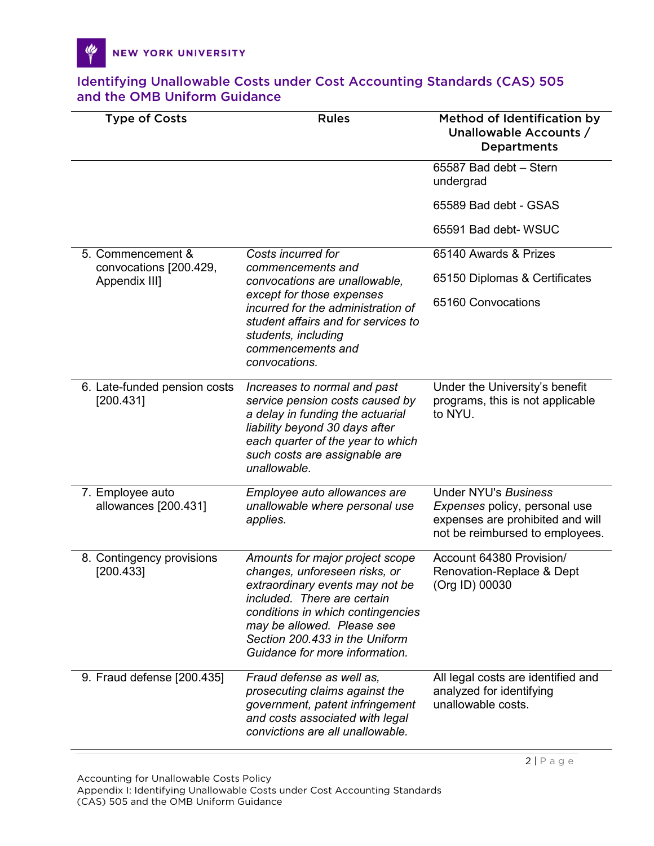| <b>Type of Costs</b>                        | <b>Rules</b>                                                                                                                                                                                                                                                              | Method of Identification by<br>Unallowable Accounts /<br><b>Departments</b>                                                         |
|---------------------------------------------|---------------------------------------------------------------------------------------------------------------------------------------------------------------------------------------------------------------------------------------------------------------------------|-------------------------------------------------------------------------------------------------------------------------------------|
|                                             |                                                                                                                                                                                                                                                                           | 65587 Bad debt - Stern<br>undergrad                                                                                                 |
|                                             |                                                                                                                                                                                                                                                                           | 65589 Bad debt - GSAS                                                                                                               |
|                                             |                                                                                                                                                                                                                                                                           | 65591 Bad debt-WSUC                                                                                                                 |
| 5. Commencement &<br>convocations [200.429, | Costs incurred for<br>commencements and<br>convocations are unallowable,<br>except for those expenses<br>incurred for the administration of<br>student affairs and for services to<br>students, including<br>commencements and<br>convocations.                           | 65140 Awards & Prizes                                                                                                               |
| Appendix III]                               |                                                                                                                                                                                                                                                                           | 65150 Diplomas & Certificates                                                                                                       |
|                                             |                                                                                                                                                                                                                                                                           | 65160 Convocations                                                                                                                  |
| 6. Late-funded pension costs<br>[200.431]   | Increases to normal and past<br>service pension costs caused by<br>a delay in funding the actuarial<br>liability beyond 30 days after<br>each quarter of the year to which<br>such costs are assignable are<br>unallowable.                                               | Under the University's benefit<br>programs, this is not applicable<br>to NYU.                                                       |
| 7. Employee auto<br>allowances [200.431]    | Employee auto allowances are<br>unallowable where personal use<br>applies.                                                                                                                                                                                                | <b>Under NYU's Business</b><br>Expenses policy, personal use<br>expenses are prohibited and will<br>not be reimbursed to employees. |
| 8. Contingency provisions<br>[200.433]      | Amounts for major project scope<br>changes, unforeseen risks, or<br>extraordinary events may not be<br>included. There are certain<br>conditions in which contingencies<br>may be allowed. Please see<br>Section 200.433 in the Uniform<br>Guidance for more information. | Account 64380 Provision/<br>Renovation-Replace & Dept<br>(Org ID) 00030                                                             |
| 9. Fraud defense [200.435]                  | Fraud defense as well as,<br>prosecuting claims against the<br>government, patent infringement<br>and costs associated with legal<br>convictions are all unallowable.                                                                                                     | All legal costs are identified and<br>analyzed for identifying<br>unallowable costs.                                                |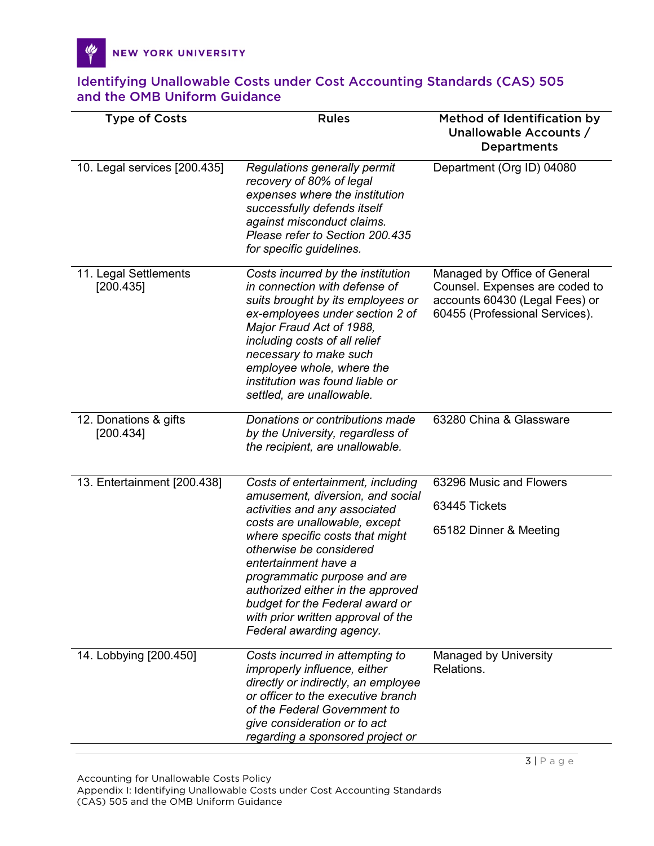Y

| <b>Type of Costs</b>               | <b>Rules</b>                                                                                                                                                                                                                                                                                                                                                       | Method of Identification by<br>Unallowable Accounts /<br><b>Departments</b>                                                        |
|------------------------------------|--------------------------------------------------------------------------------------------------------------------------------------------------------------------------------------------------------------------------------------------------------------------------------------------------------------------------------------------------------------------|------------------------------------------------------------------------------------------------------------------------------------|
| 10. Legal services [200.435]       | Regulations generally permit<br>recovery of 80% of legal<br>expenses where the institution<br>successfully defends itself<br>against misconduct claims.<br>Please refer to Section 200.435<br>for specific guidelines.                                                                                                                                             | Department (Org ID) 04080                                                                                                          |
| 11. Legal Settlements<br>[200.435] | Costs incurred by the institution<br>in connection with defense of<br>suits brought by its employees or<br>ex-employees under section 2 of<br>Major Fraud Act of 1988,<br>including costs of all relief<br>necessary to make such<br>employee whole, where the<br>institution was found liable or<br>settled, are unallowable.                                     | Managed by Office of General<br>Counsel. Expenses are coded to<br>accounts 60430 (Legal Fees) or<br>60455 (Professional Services). |
| 12. Donations & gifts<br>[200.434] | Donations or contributions made<br>by the University, regardless of<br>the recipient, are unallowable.                                                                                                                                                                                                                                                             | 63280 China & Glassware                                                                                                            |
| 13. Entertainment [200.438]        | Costs of entertainment, including                                                                                                                                                                                                                                                                                                                                  | 63296 Music and Flowers                                                                                                            |
|                                    | amusement, diversion, and social<br>activities and any associated<br>costs are unallowable, except<br>where specific costs that might<br>otherwise be considered<br>entertainment have a<br>programmatic purpose and are<br>authorized either in the approved<br>budget for the Federal award or<br>with prior written approval of the<br>Federal awarding agency. | 63445 Tickets                                                                                                                      |
|                                    |                                                                                                                                                                                                                                                                                                                                                                    | 65182 Dinner & Meeting                                                                                                             |
| 14. Lobbying [200.450]             | Costs incurred in attempting to<br><i>improperly influence, either</i><br>directly or indirectly, an employee<br>or officer to the executive branch<br>of the Federal Government to<br>give consideration or to act<br>regarding a sponsored project or                                                                                                            | Managed by University<br>Relations.                                                                                                |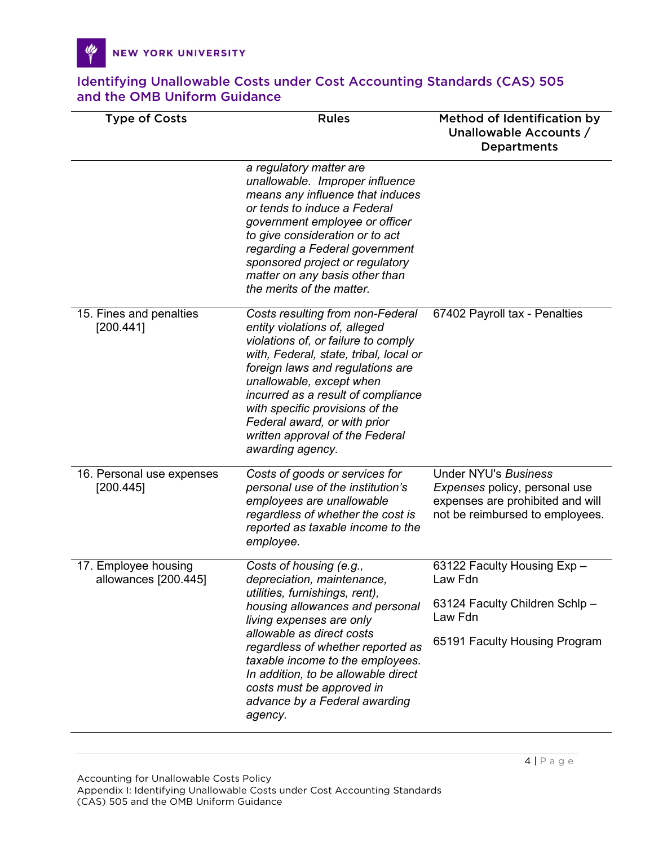৻৻

| <b>Type of Costs</b>                         | <b>Rules</b>                                                                                                                                                                                                                                                                                                                                                                       | Method of Identification by<br>Unallowable Accounts /<br><b>Departments</b>                                                         |
|----------------------------------------------|------------------------------------------------------------------------------------------------------------------------------------------------------------------------------------------------------------------------------------------------------------------------------------------------------------------------------------------------------------------------------------|-------------------------------------------------------------------------------------------------------------------------------------|
|                                              | a regulatory matter are<br>unallowable. Improper influence<br>means any influence that induces<br>or tends to induce a Federal<br>government employee or officer<br>to give consideration or to act<br>regarding a Federal government<br>sponsored project or regulatory<br>matter on any basis other than<br>the merits of the matter.                                            |                                                                                                                                     |
| 15. Fines and penalties<br>[200.441]         | Costs resulting from non-Federal<br>entity violations of, alleged<br>violations of, or failure to comply<br>with, Federal, state, tribal, local or<br>foreign laws and regulations are<br>unallowable, except when<br>incurred as a result of compliance<br>with specific provisions of the<br>Federal award, or with prior<br>written approval of the Federal<br>awarding agency. | 67402 Payroll tax - Penalties                                                                                                       |
| 16. Personal use expenses<br>[200.445]       | Costs of goods or services for<br>personal use of the institution's<br>employees are unallowable<br>regardless of whether the cost is<br>reported as taxable income to the<br>employee.                                                                                                                                                                                            | <b>Under NYU's Business</b><br>Expenses policy, personal use<br>expenses are prohibited and will<br>not be reimbursed to employees. |
| 17. Employee housing<br>allowances [200.445] | Costs of housing (e.g.,<br>depreciation, maintenance,<br>utilities, furnishings, rent),<br>housing allowances and personal<br>living expenses are only<br>allowable as direct costs<br>regardless of whether reported as<br>taxable income to the employees.<br>In addition, to be allowable direct<br>costs must be approved in<br>advance by a Federal awarding<br>agency.       | 63122 Faculty Housing Exp -<br>Law Fdn<br>63124 Faculty Children Schlp-<br>Law Fdn<br>65191 Faculty Housing Program                 |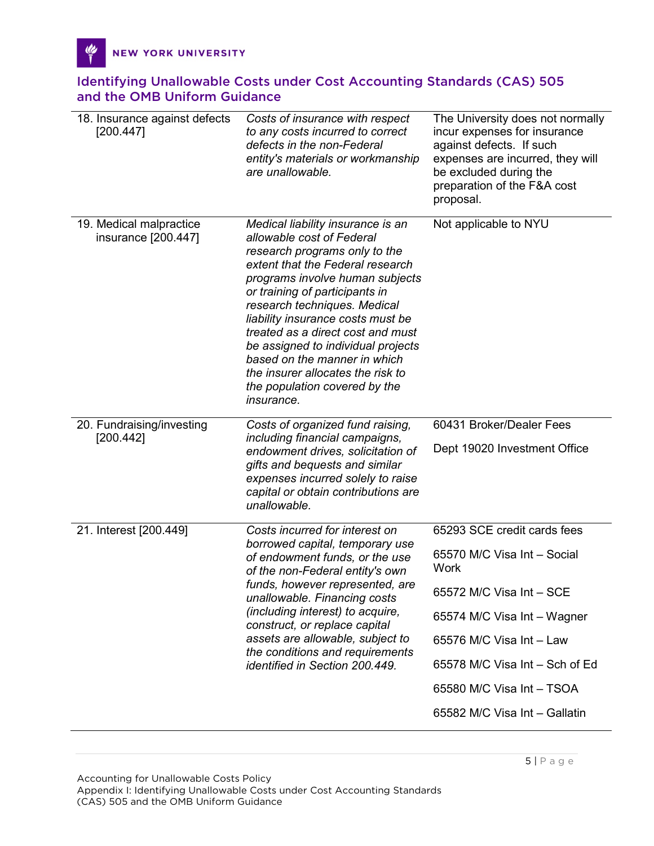| 18. Insurance against defects<br>[200.447]     | Costs of insurance with respect<br>to any costs incurred to correct<br>defects in the non-Federal<br>entity's materials or workmanship<br>are unallowable.                                                                                                                                                                                                                                                                                                                          | The University does not normally<br>incur expenses for insurance<br>against defects. If such<br>expenses are incurred, they will<br>be excluded during the<br>preparation of the F&A cost<br>proposal. |
|------------------------------------------------|-------------------------------------------------------------------------------------------------------------------------------------------------------------------------------------------------------------------------------------------------------------------------------------------------------------------------------------------------------------------------------------------------------------------------------------------------------------------------------------|--------------------------------------------------------------------------------------------------------------------------------------------------------------------------------------------------------|
| 19. Medical malpractice<br>insurance [200.447] | Medical liability insurance is an<br>allowable cost of Federal<br>research programs only to the<br>extent that the Federal research<br>programs involve human subjects<br>or training of participants in<br>research techniques. Medical<br>liability insurance costs must be<br>treated as a direct cost and must<br>be assigned to individual projects<br>based on the manner in which<br>the insurer allocates the risk to<br>the population covered by the<br><i>insurance.</i> | Not applicable to NYU                                                                                                                                                                                  |
| 20. Fundraising/investing<br>[200.442]         | Costs of organized fund raising,<br>including financial campaigns,                                                                                                                                                                                                                                                                                                                                                                                                                  | 60431 Broker/Dealer Fees                                                                                                                                                                               |
|                                                | endowment drives, solicitation of<br>gifts and bequests and similar<br>expenses incurred solely to raise<br>capital or obtain contributions are<br>unallowable.                                                                                                                                                                                                                                                                                                                     | Dept 19020 Investment Office                                                                                                                                                                           |
| 21. Interest [200.449]                         | Costs incurred for interest on<br>borrowed capital, temporary use<br>of endowment funds, or the use<br>of the non-Federal entity's own<br>funds, however represented, are<br>unallowable. Financing costs<br><i>(including interest) to acquire,</i><br>construct, or replace capital<br>assets are allowable, subject to<br>the conditions and requirements<br>identified in Section 200.449.                                                                                      | 65293 SCE credit cards fees                                                                                                                                                                            |
|                                                |                                                                                                                                                                                                                                                                                                                                                                                                                                                                                     | 65570 M/C Visa Int - Social<br>Work                                                                                                                                                                    |
|                                                |                                                                                                                                                                                                                                                                                                                                                                                                                                                                                     | 65572 M/C Visa Int - SCE                                                                                                                                                                               |
|                                                |                                                                                                                                                                                                                                                                                                                                                                                                                                                                                     | 65574 M/C Visa Int - Wagner                                                                                                                                                                            |
|                                                |                                                                                                                                                                                                                                                                                                                                                                                                                                                                                     | 65576 M/C Visa Int - Law                                                                                                                                                                               |
|                                                |                                                                                                                                                                                                                                                                                                                                                                                                                                                                                     | 65578 M/C Visa Int - Sch of Ed                                                                                                                                                                         |
|                                                |                                                                                                                                                                                                                                                                                                                                                                                                                                                                                     | 65580 M/C Visa Int - TSOA                                                                                                                                                                              |
|                                                |                                                                                                                                                                                                                                                                                                                                                                                                                                                                                     | 65582 M/C Visa Int - Gallatin                                                                                                                                                                          |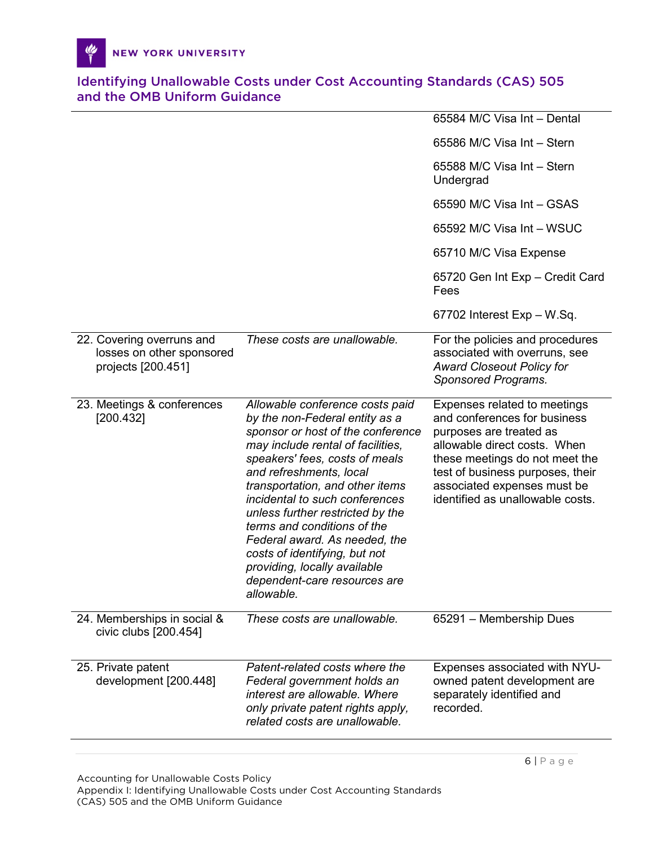|                                                                              |                                                                                                                                                                                                                                                                                                                                                                                                                                                                                                  | 65584 M/C Visa Int - Dental                                                                                                                                                                                                                                      |
|------------------------------------------------------------------------------|--------------------------------------------------------------------------------------------------------------------------------------------------------------------------------------------------------------------------------------------------------------------------------------------------------------------------------------------------------------------------------------------------------------------------------------------------------------------------------------------------|------------------------------------------------------------------------------------------------------------------------------------------------------------------------------------------------------------------------------------------------------------------|
|                                                                              |                                                                                                                                                                                                                                                                                                                                                                                                                                                                                                  | 65586 M/C Visa Int - Stern                                                                                                                                                                                                                                       |
|                                                                              |                                                                                                                                                                                                                                                                                                                                                                                                                                                                                                  | 65588 M/C Visa Int - Stern<br>Undergrad                                                                                                                                                                                                                          |
|                                                                              |                                                                                                                                                                                                                                                                                                                                                                                                                                                                                                  | 65590 M/C Visa Int - GSAS                                                                                                                                                                                                                                        |
|                                                                              |                                                                                                                                                                                                                                                                                                                                                                                                                                                                                                  | 65592 M/C Visa Int - WSUC                                                                                                                                                                                                                                        |
|                                                                              |                                                                                                                                                                                                                                                                                                                                                                                                                                                                                                  | 65710 M/C Visa Expense                                                                                                                                                                                                                                           |
|                                                                              |                                                                                                                                                                                                                                                                                                                                                                                                                                                                                                  | 65720 Gen Int Exp - Credit Card<br>Fees                                                                                                                                                                                                                          |
|                                                                              |                                                                                                                                                                                                                                                                                                                                                                                                                                                                                                  | $67702$ Interest Exp – W.Sq.                                                                                                                                                                                                                                     |
| 22. Covering overruns and<br>losses on other sponsored<br>projects [200.451] | These costs are unallowable.                                                                                                                                                                                                                                                                                                                                                                                                                                                                     | For the policies and procedures<br>associated with overruns, see<br><b>Award Closeout Policy for</b><br>Sponsored Programs.                                                                                                                                      |
| 23. Meetings & conferences<br>[200.432]                                      | Allowable conference costs paid<br>by the non-Federal entity as a<br>sponsor or host of the conference<br>may include rental of facilities,<br>speakers' fees, costs of meals<br>and refreshments, local<br>transportation, and other items<br>incidental to such conferences<br>unless further restricted by the<br>terms and conditions of the<br>Federal award. As needed, the<br>costs of identifying, but not<br>providing, locally available<br>dependent-care resources are<br>allowable. | Expenses related to meetings<br>and conferences for business<br>purposes are treated as<br>allowable direct costs. When<br>these meetings do not meet the<br>test of business purposes, their<br>associated expenses must be<br>identified as unallowable costs. |
| 24. Memberships in social &<br>civic clubs [200.454]                         | These costs are unallowable.                                                                                                                                                                                                                                                                                                                                                                                                                                                                     | 65291 - Membership Dues                                                                                                                                                                                                                                          |
| 25. Private patent<br>development [200.448]                                  | Patent-related costs where the<br>Federal government holds an<br>interest are allowable. Where<br>only private patent rights apply,<br>related costs are unallowable.                                                                                                                                                                                                                                                                                                                            | Expenses associated with NYU-<br>owned patent development are<br>separately identified and<br>recorded.                                                                                                                                                          |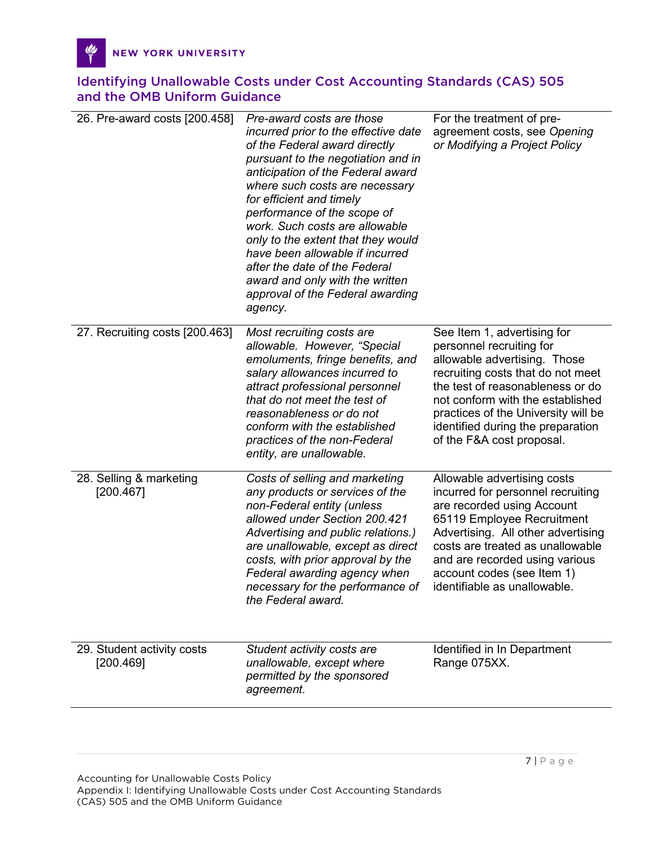| 26. Pre-award costs [200.458]           | Pre-award costs are those<br>incurred prior to the effective date<br>of the Federal award directly<br>pursuant to the negotiation and in<br>anticipation of the Federal award<br>where such costs are necessary<br>for efficient and timely<br>performance of the scope of<br>work. Such costs are allowable<br>only to the extent that they would<br>have been allowable if incurred<br>after the date of the Federal<br>award and only with the written<br>approval of the Federal awarding<br>agency. | For the treatment of pre-<br>agreement costs, see Opening<br>or Modifying a Project Policy                                                                                                                                                                                                                    |
|-----------------------------------------|----------------------------------------------------------------------------------------------------------------------------------------------------------------------------------------------------------------------------------------------------------------------------------------------------------------------------------------------------------------------------------------------------------------------------------------------------------------------------------------------------------|---------------------------------------------------------------------------------------------------------------------------------------------------------------------------------------------------------------------------------------------------------------------------------------------------------------|
| 27. Recruiting costs [200.463]          | Most recruiting costs are<br>allowable. However, "Special<br>emoluments, fringe benefits, and<br>salary allowances incurred to<br>attract professional personnel<br>that do not meet the test of<br>reasonableness or do not<br>conform with the established<br>practices of the non-Federal<br>entity, are unallowable.                                                                                                                                                                                 | See Item 1, advertising for<br>personnel recruiting for<br>allowable advertising. Those<br>recruiting costs that do not meet<br>the test of reasonableness or do<br>not conform with the established<br>practices of the University will be<br>identified during the preparation<br>of the F&A cost proposal. |
| 28. Selling & marketing<br>[200.467]    | Costs of selling and marketing<br>any products or services of the<br>non-Federal entity (unless<br>allowed under Section 200.421<br>Advertising and public relations.)<br>are unallowable, except as direct<br>costs, with prior approval by the<br>Federal awarding agency when<br>necessary for the performance of identifiable as unallowable.<br>the Federal award.                                                                                                                                  | Allowable advertising costs<br>incurred for personnel recruiting<br>are recorded using Account<br>65119 Employee Recruitment<br>Advertising. All other advertising<br>costs are treated as unallowable<br>and are recorded using various<br>account codes (see Item 1)                                        |
| 29. Student activity costs<br>[200.469] | Student activity costs are<br>unallowable, except where<br>permitted by the sponsored<br>agreement.                                                                                                                                                                                                                                                                                                                                                                                                      | Identified in In Department<br>Range 075XX.                                                                                                                                                                                                                                                                   |